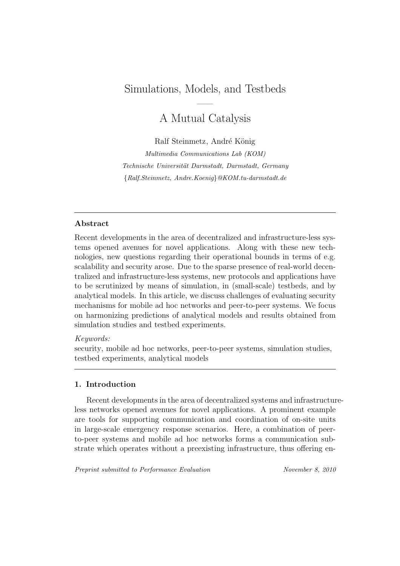# Simulations, Models, and Testbeds

—–

A Mutual Catalysis

Ralf Steinmetz, André König

Multimedia Communications Lab (KOM) Technische Universität Darmstadt, Darmstadt, Germany {Ralf.Steinmetz, Andre.Koenig}@KOM.tu-darmstadt.de

### Abstract

Recent developments in the area of decentralized and infrastructure-less systems opened avenues for novel applications. Along with these new technologies, new questions regarding their operational bounds in terms of e.g. scalability and security arose. Due to the sparse presence of real-world decentralized and infrastructure-less systems, new protocols and applications have to be scrutinized by means of simulation, in (small-scale) testbeds, and by analytical models. In this article, we discuss challenges of evaluating security mechanisms for mobile ad hoc networks and peer-to-peer systems. We focus on harmonizing predictions of analytical models and results obtained from simulation studies and testbed experiments.

#### *Keywords:*

security, mobile ad hoc networks, peer-to-peer systems, simulation studies, testbed experiments, analytical models

#### 1. Introduction

Recent developments in the area of decentralized systems and infrastructureless networks opened avenues for novel applications. A prominent example are tools for supporting communication and coordination of on-site units in large-scale emergency response scenarios. Here, a combination of peerto-peer systems and mobile ad hoc networks forms a communication substrate which operates without a preexisting infrastructure, thus offering en-

Preprint submitted to Performance Evaluation November 8, 2010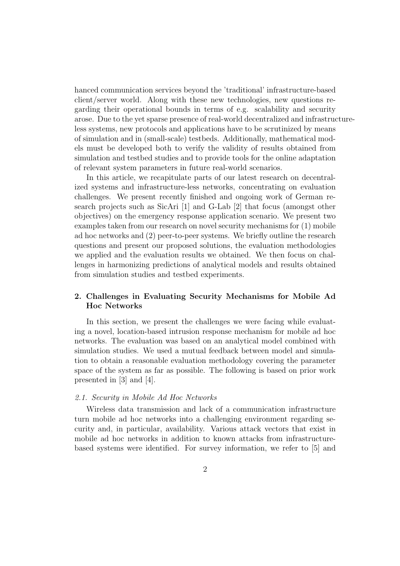hanced communication services beyond the 'traditional' infrastructure-based client/server world. Along with these new technologies, new questions regarding their operational bounds in terms of e.g. scalability and security arose. Due to the yet sparse presence of real-world decentralized and infrastructureless systems, new protocols and applications have to be scrutinized by means of simulation and in (small-scale) testbeds. Additionally, mathematical models must be developed both to verify the validity of results obtained from simulation and testbed studies and to provide tools for the online adaptation of relevant system parameters in future real-world scenarios.

In this article, we recapitulate parts of our latest research on decentralized systems and infrastructure-less networks, concentrating on evaluation challenges. We present recently finished and ongoing work of German research projects such as SicAri [1] and G-Lab [2] that focus (amongst other objectives) on the emergency response application scenario. We present two examples taken from our research on novel security mechanisms for (1) mobile ad hoc networks and (2) peer-to-peer systems. We briefly outline the research questions and present our proposed solutions, the evaluation methodologies we applied and the evaluation results we obtained. We then focus on challenges in harmonizing predictions of analytical models and results obtained from simulation studies and testbed experiments.

## 2. Challenges in Evaluating Security Mechanisms for Mobile Ad Hoc Networks

In this section, we present the challenges we were facing while evaluating a novel, location-based intrusion response mechanism for mobile ad hoc networks. The evaluation was based on an analytical model combined with simulation studies. We used a mutual feedback between model and simulation to obtain a reasonable evaluation methodology covering the parameter space of the system as far as possible. The following is based on prior work presented in [3] and [4].

#### *2.1. Security in Mobile Ad Hoc Networks*

Wireless data transmission and lack of a communication infrastructure turn mobile ad hoc networks into a challenging environment regarding security and, in particular, availability. Various attack vectors that exist in mobile ad hoc networks in addition to known attacks from infrastructurebased systems were identified. For survey information, we refer to [5] and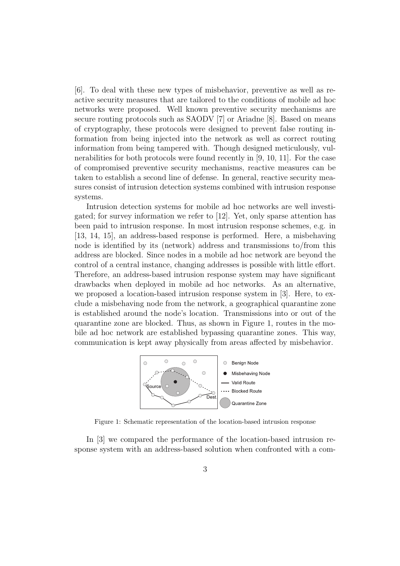[6]. To deal with these new types of misbehavior, preventive as well as reactive security measures that are tailored to the conditions of mobile ad hoc networks were proposed. Well known preventive security mechanisms are secure routing protocols such as SAODV [7] or Ariadne [8]. Based on means of cryptography, these protocols were designed to prevent false routing information from being injected into the network as well as correct routing information from being tampered with. Though designed meticulously, vulnerabilities for both protocols were found recently in [9, 10, 11]. For the case of compromised preventive security mechanisms, reactive measures can be taken to establish a second line of defense. In general, reactive security measures consist of intrusion detection systems combined with intrusion response systems.

Intrusion detection systems for mobile ad hoc networks are well investigated; for survey information we refer to [12]. Yet, only sparse attention has been paid to intrusion response. In most intrusion response schemes, e.g. in [13, 14, 15], an address-based response is performed. Here, a misbehaving node is identified by its (network) address and transmissions to/from this address are blocked. Since nodes in a mobile ad hoc network are beyond the control of a central instance, changing addresses is possible with little effort. Therefore, an address-based intrusion response system may have significant drawbacks when deployed in mobile ad hoc networks. As an alternative, we proposed a location-based intrusion response system in [3]. Here, to exclude a misbehaving node from the network, a geographical quarantine zone is established around the node's location. Transmissions into or out of the quarantine zone are blocked. Thus, as shown in Figure 1, routes in the mobile ad hoc network are established bypassing quarantine zones. This way, communication is kept away physically from areas affected by misbehavior.



Figure 1: Schematic representation of the location-based intrusion response

In [3] we compared the performance of the location-based intrusion response system with an address-based solution when confronted with a com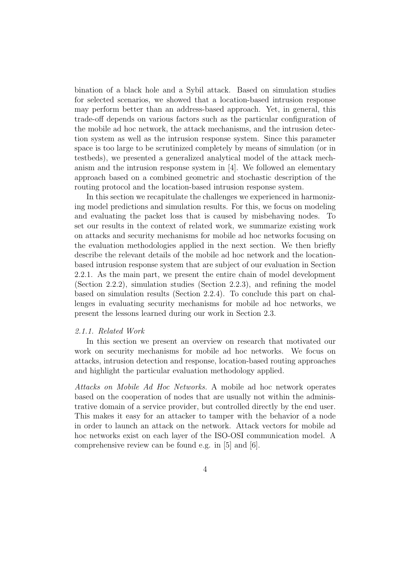bination of a black hole and a Sybil attack. Based on simulation studies for selected scenarios, we showed that a location-based intrusion response may perform better than an address-based approach. Yet, in general, this trade-off depends on various factors such as the particular configuration of the mobile ad hoc network, the attack mechanisms, and the intrusion detection system as well as the intrusion response system. Since this parameter space is too large to be scrutinized completely by means of simulation (or in testbeds), we presented a generalized analytical model of the attack mechanism and the intrusion response system in [4]. We followed an elementary approach based on a combined geometric and stochastic description of the routing protocol and the location-based intrusion response system.

In this section we recapitulate the challenges we experienced in harmonizing model predictions and simulation results. For this, we focus on modeling and evaluating the packet loss that is caused by misbehaving nodes. To set our results in the context of related work, we summarize existing work on attacks and security mechanisms for mobile ad hoc networks focusing on the evaluation methodologies applied in the next section. We then briefly describe the relevant details of the mobile ad hoc network and the locationbased intrusion response system that are subject of our evaluation in Section 2.2.1. As the main part, we present the entire chain of model development (Section 2.2.2), simulation studies (Section 2.2.3), and refining the model based on simulation results (Section 2.2.4). To conclude this part on challenges in evaluating security mechanisms for mobile ad hoc networks, we present the lessons learned during our work in Section 2.3.

#### *2.1.1. Related Work*

In this section we present an overview on research that motivated our work on security mechanisms for mobile ad hoc networks. We focus on attacks, intrusion detection and response, location-based routing approaches and highlight the particular evaluation methodology applied.

*Attacks on Mobile Ad Hoc Networks.* A mobile ad hoc network operates based on the cooperation of nodes that are usually not within the administrative domain of a service provider, but controlled directly by the end user. This makes it easy for an attacker to tamper with the behavior of a node in order to launch an attack on the network. Attack vectors for mobile ad hoc networks exist on each layer of the ISO-OSI communication model. A comprehensive review can be found e.g. in [5] and [6].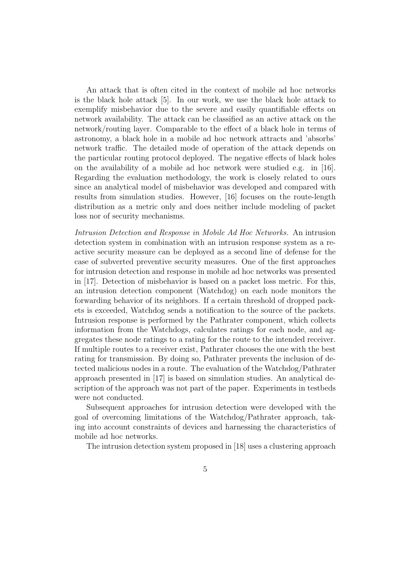An attack that is often cited in the context of mobile ad hoc networks is the black hole attack [5]. In our work, we use the black hole attack to exemplify misbehavior due to the severe and easily quantifiable effects on network availability. The attack can be classified as an active attack on the network/routing layer. Comparable to the effect of a black hole in terms of astronomy, a black hole in a mobile ad hoc network attracts and 'absorbs' network traffic. The detailed mode of operation of the attack depends on the particular routing protocol deployed. The negative effects of black holes on the availability of a mobile ad hoc network were studied e.g. in [16]. Regarding the evaluation methodology, the work is closely related to ours since an analytical model of misbehavior was developed and compared with results from simulation studies. However, [16] focuses on the route-length distribution as a metric only and does neither include modeling of packet loss nor of security mechanisms.

*Intrusion Detection and Response in Mobile Ad Hoc Networks.* An intrusion detection system in combination with an intrusion response system as a reactive security measure can be deployed as a second line of defense for the case of subverted preventive security measures. One of the first approaches for intrusion detection and response in mobile ad hoc networks was presented in [17]. Detection of misbehavior is based on a packet loss metric. For this, an intrusion detection component (Watchdog) on each node monitors the forwarding behavior of its neighbors. If a certain threshold of dropped packets is exceeded, Watchdog sends a notification to the source of the packets. Intrusion response is performed by the Pathrater component, which collects information from the Watchdogs, calculates ratings for each node, and aggregates these node ratings to a rating for the route to the intended receiver. If multiple routes to a receiver exist, Pathrater chooses the one with the best rating for transmission. By doing so, Pathrater prevents the inclusion of detected malicious nodes in a route. The evaluation of the Watchdog/Pathrater approach presented in [17] is based on simulation studies. An analytical description of the approach was not part of the paper. Experiments in testbeds were not conducted.

Subsequent approaches for intrusion detection were developed with the goal of overcoming limitations of the Watchdog/Pathrater approach, taking into account constraints of devices and harnessing the characteristics of mobile ad hoc networks.

The intrusion detection system proposed in [18] uses a clustering approach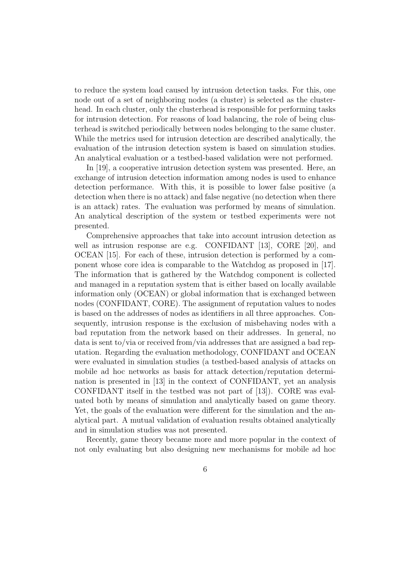to reduce the system load caused by intrusion detection tasks. For this, one node out of a set of neighboring nodes (a cluster) is selected as the clusterhead. In each cluster, only the clusterhead is responsible for performing tasks for intrusion detection. For reasons of load balancing, the role of being clusterhead is switched periodically between nodes belonging to the same cluster. While the metrics used for intrusion detection are described analytically, the evaluation of the intrusion detection system is based on simulation studies. An analytical evaluation or a testbed-based validation were not performed.

In [19], a cooperative intrusion detection system was presented. Here, an exchange of intrusion detection information among nodes is used to enhance detection performance. With this, it is possible to lower false positive (a detection when there is no attack) and false negative (no detection when there is an attack) rates. The evaluation was performed by means of simulation. An analytical description of the system or testbed experiments were not presented.

Comprehensive approaches that take into account intrusion detection as well as intrusion response are e.g. CONFIDANT [13], CORE [20], and OCEAN [15]. For each of these, intrusion detection is performed by a component whose core idea is comparable to the Watchdog as proposed in [17]. The information that is gathered by the Watchdog component is collected and managed in a reputation system that is either based on locally available information only (OCEAN) or global information that is exchanged between nodes (CONFIDANT, CORE). The assignment of reputation values to nodes is based on the addresses of nodes as identifiers in all three approaches. Consequently, intrusion response is the exclusion of misbehaving nodes with a bad reputation from the network based on their addresses. In general, no data is sent to/via or received from/via addresses that are assigned a bad reputation. Regarding the evaluation methodology, CONFIDANT and OCEAN were evaluated in simulation studies (a testbed-based analysis of attacks on mobile ad hoc networks as basis for attack detection/reputation determination is presented in [13] in the context of CONFIDANT, yet an analysis CONFIDANT itself in the testbed was not part of [13]). CORE was evaluated both by means of simulation and analytically based on game theory. Yet, the goals of the evaluation were different for the simulation and the analytical part. A mutual validation of evaluation results obtained analytically and in simulation studies was not presented.

Recently, game theory became more and more popular in the context of not only evaluating but also designing new mechanisms for mobile ad hoc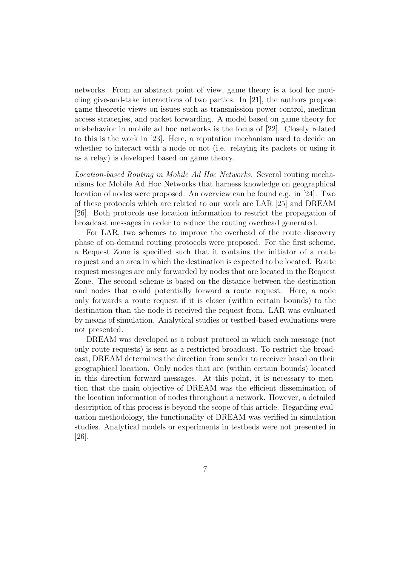networks. From an abstract point of view, game theory is a tool for modeling give-and-take interactions of two parties. In [21], the authors propose game theoretic views on issues such as transmission power control, medium access strategies, and packet forwarding. A model based on game theory for misbehavior in mobile ad hoc networks is the focus of [22]. Closely related to this is the work in [23]. Here, a reputation mechanism used to decide on whether to interact with a node or not (i.e. relaying its packets or using it as a relay) is developed based on game theory.

*Location-based Routing in Mobile Ad Hoc Networks.* Several routing mechanisms for Mobile Ad Hoc Networks that harness knowledge on geographical location of nodes were proposed. An overview can be found e.g. in [24]. Two of these protocols which are related to our work are LAR [25] and DREAM [26]. Both protocols use location information to restrict the propagation of broadcast messages in order to reduce the routing overhead generated.

For LAR, two schemes to improve the overhead of the route discovery phase of on-demand routing protocols were proposed. For the first scheme, a Request Zone is specified such that it contains the initiator of a route request and an area in which the destination is expected to be located. Route request messages are only forwarded by nodes that are located in the Request Zone. The second scheme is based on the distance between the destination and nodes that could potentially forward a route request. Here, a node only forwards a route request if it is closer (within certain bounds) to the destination than the node it received the request from. LAR was evaluated by means of simulation. Analytical studies or testbed-based evaluations were not presented.

DREAM was developed as a robust protocol in which each message (not only route requests) is sent as a restricted broadcast. To restrict the broadcast, DREAM determines the direction from sender to receiver based on their geographical location. Only nodes that are (within certain bounds) located in this direction forward messages. At this point, it is necessary to mention that the main objective of DREAM was the efficient dissemination of the location information of nodes throughout a network. However, a detailed description of this process is beyond the scope of this article. Regarding evaluation methodology, the functionality of DREAM was verified in simulation studies. Analytical models or experiments in testbeds were not presented in [26].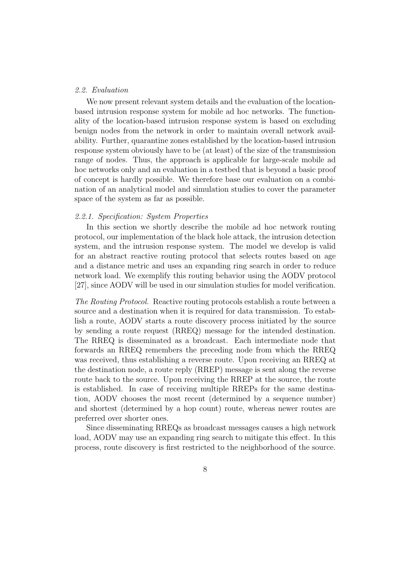#### *2.2. Evaluation*

We now present relevant system details and the evaluation of the locationbased intrusion response system for mobile ad hoc networks. The functionality of the location-based intrusion response system is based on excluding benign nodes from the network in order to maintain overall network availability. Further, quarantine zones established by the location-based intrusion response system obviously have to be (at least) of the size of the transmission range of nodes. Thus, the approach is applicable for large-scale mobile ad hoc networks only and an evaluation in a testbed that is beyond a basic proof of concept is hardly possible. We therefore base our evaluation on a combination of an analytical model and simulation studies to cover the parameter space of the system as far as possible.

#### *2.2.1. Specification: System Properties*

In this section we shortly describe the mobile ad hoc network routing protocol, our implementation of the black hole attack, the intrusion detection system, and the intrusion response system. The model we develop is valid for an abstract reactive routing protocol that selects routes based on age and a distance metric and uses an expanding ring search in order to reduce network load. We exemplify this routing behavior using the AODV protocol [27], since AODV will be used in our simulation studies for model verification.

*The Routing Protocol.* Reactive routing protocols establish a route between a source and a destination when it is required for data transmission. To establish a route, AODV starts a route discovery process initiated by the source by sending a route request (RREQ) message for the intended destination. The RREQ is disseminated as a broadcast. Each intermediate node that forwards an RREQ remembers the preceding node from which the RREQ was received, thus establishing a reverse route. Upon receiving an RREQ at the destination node, a route reply (RREP) message is sent along the reverse route back to the source. Upon receiving the RREP at the source, the route is established. In case of receiving multiple RREPs for the same destination, AODV chooses the most recent (determined by a sequence number) and shortest (determined by a hop count) route, whereas newer routes are preferred over shorter ones.

Since disseminating RREQs as broadcast messages causes a high network load, AODV may use an expanding ring search to mitigate this effect. In this process, route discovery is first restricted to the neighborhood of the source.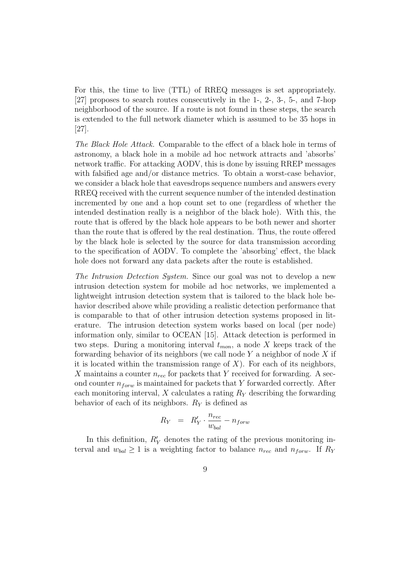For this, the time to live (TTL) of RREQ messages is set appropriately. [27] proposes to search routes consecutively in the 1-, 2-, 3-, 5-, and 7-hop neighborhood of the source. If a route is not found in these steps, the search is extended to the full network diameter which is assumed to be 35 hops in [27].

*The Black Hole Attack.* Comparable to the effect of a black hole in terms of astronomy, a black hole in a mobile ad hoc network attracts and 'absorbs' network traffic. For attacking AODV, this is done by issuing RREP messages with falsified age and/or distance metrics. To obtain a worst-case behavior, we consider a black hole that eavesdrops sequence numbers and answers every RREQ received with the current sequence number of the intended destination incremented by one and a hop count set to one (regardless of whether the intended destination really is a neighbor of the black hole). With this, the route that is offered by the black hole appears to be both newer and shorter than the route that is offered by the real destination. Thus, the route offered by the black hole is selected by the source for data transmission according to the specification of AODV. To complete the 'absorbing' effect, the black hole does not forward any data packets after the route is established.

*The Intrusion Detection System.* Since our goal was not to develop a new intrusion detection system for mobile ad hoc networks, we implemented a lightweight intrusion detection system that is tailored to the black hole behavior described above while providing a realistic detection performance that is comparable to that of other intrusion detection systems proposed in literature. The intrusion detection system works based on local (per node) information only, similar to OCEAN [15]. Attack detection is performed in two steps. During a monitoring interval  $t_{mon}$ , a node X keeps track of the forwarding behavior of its neighbors (we call node  $Y$  a neighbor of node  $X$  if it is located within the transmission range of  $X$ ). For each of its neighbors, X maintains a counter  $n_{rec}$  for packets that Y received for forwarding. A second counter  $n_{forw}$  is maintained for packets that Y forwarded correctly. After each monitoring interval,  $X$  calculates a rating  $R_Y$  describing the forwarding behavior of each of its neighbors.  $R_Y$  is defined as

$$
R_Y \;\; = \;\; R'_Y \cdot \frac{n_{rec}}{w_{bal}} - n_{forw}
$$

In this definition,  $R'_{Y}$  denotes the rating of the previous monitoring interval and  $w_{bal} \geq 1$  is a weighting factor to balance  $n_{rec}$  and  $n_{forw}$ . If  $R_Y$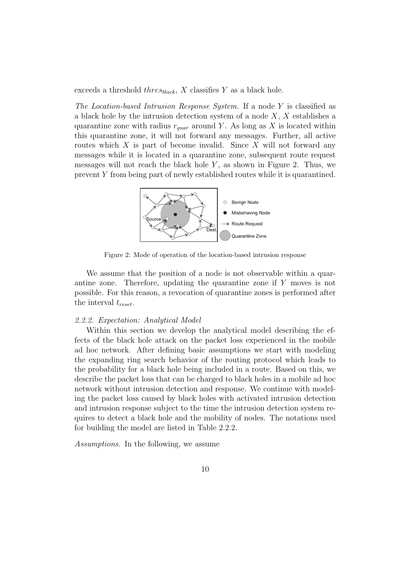exceeds a threshold  $thres_{black}$ , X classifies Y as a black hole.

*The Location-based Intrusion Response System.* If a node Y is classified as a black hole by the intrusion detection system of a node  $X, X$  establishes a quarantine zone with radius  $r_{quar}$  around Y. As long as X is located within this quarantine zone, it will not forward any messages. Further, all active routes which  $X$  is part of become invalid. Since  $X$  will not forward any messages while it is located in a quarantine zone, subsequent route request messages will not reach the black hole  $Y$ , as shown in Figure 2. Thus, we prevent Y from being part of newly established routes while it is quarantined.



Figure 2: Mode of operation of the location-based intrusion response

We assume that the position of a node is not observable within a quarantine zone. Therefore, updating the quarantine zone if Y moves is not possible. For this reason, a revocation of quarantine zones is performed after the interval  $t_{reset}$ .

#### *2.2.2. Expectation: Analytical Model*

Within this section we develop the analytical model describing the effects of the black hole attack on the packet loss experienced in the mobile ad hoc network. After defining basic assumptions we start with modeling the expanding ring search behavior of the routing protocol which leads to the probability for a black hole being included in a route. Based on this, we describe the packet loss that can be charged to black holes in a mobile ad hoc network without intrusion detection and response. We continue with modeling the packet loss caused by black holes with activated intrusion detection and intrusion response subject to the time the intrusion detection system requires to detect a black hole and the mobility of nodes. The notations used for building the model are listed in Table 2.2.2.

*Assumptions.* In the following, we assume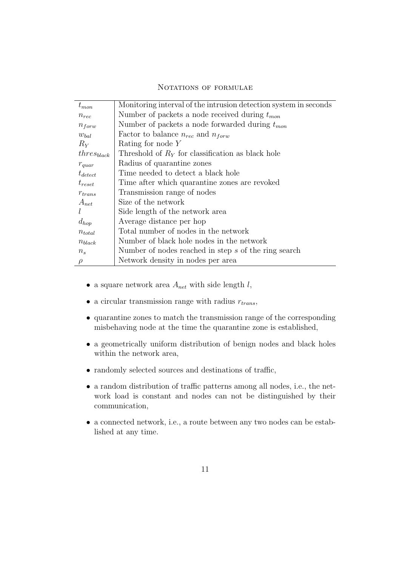| $t_{mon}$       | Monitoring interval of the intrusion detection system in seconds |
|-----------------|------------------------------------------------------------------|
| $n_{rec}$       | Number of packets a node received during $t_{mon}$               |
| $n_{forw}$      | Number of packets a node forwarded during $t_{mon}$              |
| $w_{bal}$       | Factor to balance $n_{rec}$ and $n_{forw}$                       |
| $R_Y$           | Rating for node $Y$                                              |
| $thres_{black}$ | Threshold of $RY$ for classification as black hole               |
| $r_{quar}$      | Radius of quarantine zones                                       |
| $t_{detect}$    | Time needed to detect a black hole                               |
| $t_{reset}$     | Time after which quarantine zones are revoked                    |
| $r_{trans}$     | Transmission range of nodes                                      |
| $A_{net}$       | Size of the network                                              |
| l               | Side length of the network area                                  |
| $d_{hop}$       | Average distance per hop                                         |
| $n_{total}$     | Total number of nodes in the network                             |
| $n_{black}$     | Number of black hole nodes in the network                        |
| $n_{s}$         | Number of nodes reached in step $s$ of the ring search           |
| $\rho$          | Network density in nodes per area                                |

- a square network area  $A_{net}$  with side length  $l$ ,
- a circular transmission range with radius  $r_{trans}$ ,
- quarantine zones to match the transmission range of the corresponding misbehaving node at the time the quarantine zone is established,
- a geometrically uniform distribution of benign nodes and black holes within the network area,
- randomly selected sources and destinations of traffic,
- a random distribution of traffic patterns among all nodes, i.e., the network load is constant and nodes can not be distinguished by their communication,
- a connected network, i.e., a route between any two nodes can be established at any time.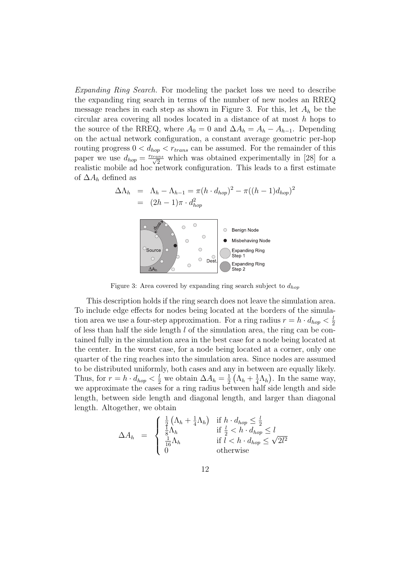*Expanding Ring Search.* For modeling the packet loss we need to describe the expanding ring search in terms of the number of new nodes an RREQ message reaches in each step as shown in Figure 3. For this, let  $A_h$  be the circular area covering all nodes located in a distance of at most h hops to the source of the RREQ, where  $A_0 = 0$  and  $\Delta A_h = A_h - A_{h-1}$ . Depending on the actual network configuration, a constant average geometric per-hop routing progress  $0 < d_{hop} < r_{trans}$  can be assumed. For the remainder of this paper we use  $d_{hop} = \frac{r_{trans}}{\sqrt{2}}$  which was obtained experimentally in [28] for a realistic mobile ad hoc network configuration. This leads to a first estimate of  $\Delta A_h$  defined as

$$
\Delta \Lambda_h = \Lambda_h - \Lambda_{h-1} = \pi (h \cdot d_{hop})^2 - \pi ((h-1)d_{hop})^2
$$
  
= 
$$
(2h-1)\pi \cdot d_{hop}^2
$$



Figure 3: Area covered by expanding ring search subject to  $d_{hop}$ 

This description holds if the ring search does not leave the simulation area. To include edge effects for nodes being located at the borders of the simulation area we use a four-step approximation. For a ring radius  $r = h \cdot d_{hop} < \frac{l}{2}$ 2 of less than half the side length  $l$  of the simulation area, the ring can be contained fully in the simulation area in the best case for a node being located at the center. In the worst case, for a node being located at a corner, only one quarter of the ring reaches into the simulation area. Since nodes are assumed to be distributed uniformly, both cases and any in between are equally likely. Thus, for  $r = h \cdot d_{hop} < \frac{l}{2}$  we obtain  $\Delta A_h = \frac{1}{2}$  $\frac{1}{2}(\Lambda_h+\frac{1}{4}$  $(\frac{1}{4}\Lambda_h)$ . In the same way, we approximate the cases for a ring radius between half side length and side length, between side length and diagonal length, and larger than diagonal length. Altogether, we obtain

$$
\Delta A_h = \begin{cases}\n\frac{1}{2} (\Lambda_h + \frac{1}{4} \Lambda_h) & \text{if } h \cdot d_{hop} \leq \frac{l}{2} \\
\frac{1}{8} \Lambda_h & \text{if } \frac{l}{2} < h \cdot d_{hop} \leq l \\
\frac{1}{16} \Lambda_h & \text{if } l < h \cdot d_{hop} \leq \sqrt{2l^2} \\
0 & \text{otherwise}\n\end{cases}
$$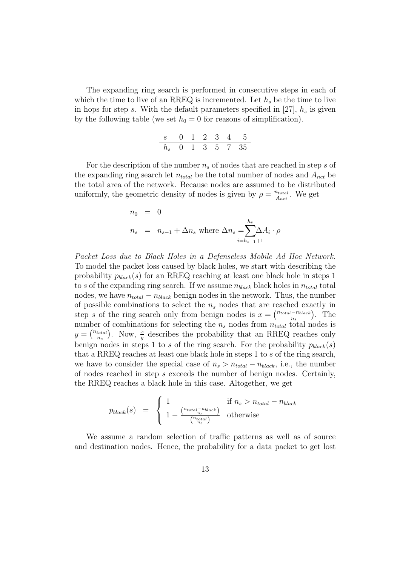The expanding ring search is performed in consecutive steps in each of which the time to live of an RREQ is incremented. Let  $h_s$  be the time to live in hops for step s. With the default parameters specified in [27],  $h_s$  is given by the following table (we set  $h_0 = 0$  for reasons of simplification).

$$
\begin{array}{c|cccccc}\ns & 0 & 1 & 2 & 3 & 4 & 5 \\
\hline\nh_s & 0 & 1 & 3 & 5 & 7 & 35\n\end{array}
$$

For the description of the number  $n_s$  of nodes that are reached in step s of the expanding ring search let  $n_{total}$  be the total number of nodes and  $A_{net}$  be the total area of the network. Because nodes are assumed to be distributed uniformly, the geometric density of nodes is given by  $\rho = \frac{n_{total}}{4nt}$  $\frac{\eta_{total}}{A_{net}}$ . We get

$$
n_0 = 0
$$
  

$$
n_s = n_{s-1} + \Delta n_s \text{ where } \Delta n_s = \sum_{i=h_{s-1}+1}^{h_s} \Delta A_i \cdot \rho
$$

*Packet Loss due to Black Holes in a Defenseless Mobile Ad Hoc Network.* To model the packet loss caused by black holes, we start with describing the probability  $p_{black}(s)$  for an RREQ reaching at least one black hole in steps 1 to s of the expanding ring search. If we assume  $n_{black}$  black holes in  $n_{total}$  total nodes, we have  $n_{total} - n_{black}$  benign nodes in the network. Thus, the number of possible combinations to select the  $n<sub>s</sub>$  nodes that are reached exactly in step s of the ring search only from benign nodes is  $x = \binom{n_{total}-n_{black}}{n_s}$ . The number of combinations for selecting the  $n_s$  nodes from  $n_{total}$  total nodes is  $y = \binom{n_{total}}{n}$  $\binom{total}{n_s}$ . Now,  $\frac{x}{y}$  describes the probability that an RREQ reaches only benign nodes in steps 1 to s of the ring search. For the probability  $p_{black}(s)$ that a RREQ reaches at least one black hole in steps 1 to s of the ring search, we have to consider the special case of  $n_s > n_{total} - n_{black}$ , i.e., the number of nodes reached in step s exceeds the number of benign nodes. Certainly, the RREQ reaches a black hole in this case. Altogether, we get

$$
p_{black}(s) = \begin{cases} 1 & \text{if } n_s > n_{total} - n_{black} \\ 1 - \frac{\binom{n_{total} - n_{black}}{n_s}}{\binom{n_{total}}{n_s}} & \text{otherwise} \end{cases}
$$

We assume a random selection of traffic patterns as well as of source and destination nodes. Hence, the probability for a data packet to get lost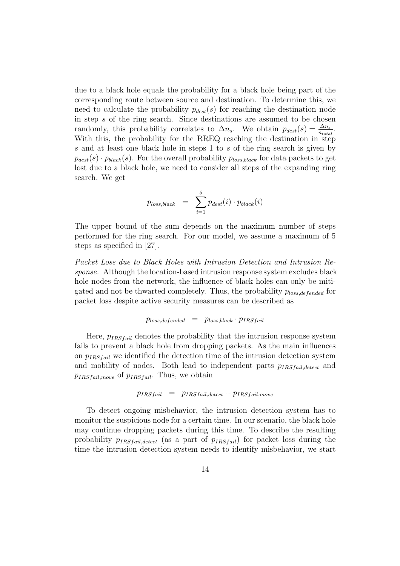due to a black hole equals the probability for a black hole being part of the corresponding route between source and destination. To determine this, we need to calculate the probability  $p_{dest}(s)$  for reaching the destination node in step  $s$  of the ring search. Since destinations are assumed to be chosen randomly, this probability correlates to  $\Delta n_s$ . We obtain  $p_{dest}(s) = \frac{\Delta n_s}{n_{total}}$ . With this, the probability for the RREQ reaching the destination in step s and at least one black hole in steps 1 to s of the ring search is given by  $p_{dest}(s) \cdot p_{black}(s)$ . For the overall probability  $p_{loss,black}$  for data packets to get lost due to a black hole, we need to consider all steps of the expanding ring search. We get

$$
p_{loss,black} = \sum_{i=1}^{5} p_{dest}(i) \cdot p_{black}(i)
$$

The upper bound of the sum depends on the maximum number of steps performed for the ring search. For our model, we assume a maximum of 5 steps as specified in [27].

*Packet Loss due to Black Holes with Intrusion Detection and Intrusion Response.* Although the location-based intrusion response system excludes black hole nodes from the network, the influence of black holes can only be mitigated and not be thwarted completely. Thus, the probability  $p_{loss,defended}$  for packet loss despite active security measures can be described as

$$
p_{loss,defined} = p_{loss,black} \cdot p_{IRSfail}
$$

Here,  $p_{IRSfail}$  denotes the probability that the intrusion response system fails to prevent a black hole from dropping packets. As the main influences on  $p_{IRSfail}$  we identified the detection time of the intrusion detection system and mobility of nodes. Both lead to independent parts  $p_{IRS fail,detect}$  and  $p_{IRS fail, move}$  of  $p_{IRSfail}$ . Thus, we obtain

# $p_{IRSfail} = p_{IRSfail}.$ detect +  $p_{IRS fail. move}$

To detect ongoing misbehavior, the intrusion detection system has to monitor the suspicious node for a certain time. In our scenario, the black hole may continue dropping packets during this time. To describe the resulting probability  $p_{IRSfail,detect}$  (as a part of  $p_{IRSfail}$ ) for packet loss during the time the intrusion detection system needs to identify misbehavior, we start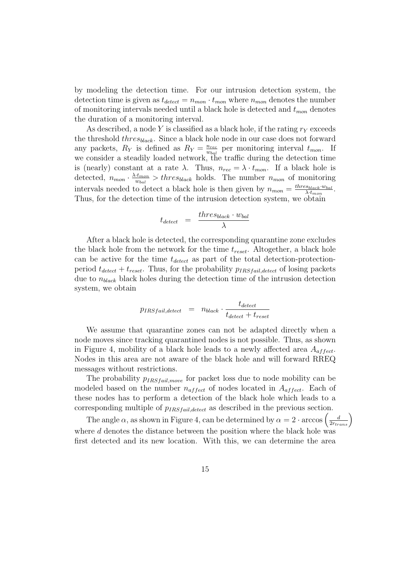by modeling the detection time. For our intrusion detection system, the detection time is given as  $t_{detect} = n_{mon} \cdot t_{mon}$  where  $n_{mon}$  denotes the number of monitoring intervals needed until a black hole is detected and  $t_{mon}$  denotes the duration of a monitoring interval.

As described, a node Y is classified as a black hole, if the rating  $r_Y$  exceeds the threshold  $thres_{black}$ . Since a black hole node in our case does not forward any packets,  $R_Y$  is defined as  $R_Y = \frac{n_{rec}}{w_{hel}}$  $\frac{n_{rec}}{w_{bal}}$  per monitoring interval  $t_{mon}$ . If we consider a steadily loaded network, the traffic during the detection time is (nearly) constant at a rate  $\lambda$ . Thus,  $n_{rec} = \lambda \cdot t_{mon}$ . If a black hole is detected,  $n_{mon} \cdot \frac{\lambda \cdot t_{mon}}{w_{bal}} > thres_{black}$  holds. The number  $n_{mon}$  of monitoring intervals needed to detect a black hole is then given by  $n_{mon} = \frac{thres_{black} \cdot w_{bal}}{\lambda_{trans}}$  $\frac{\partial \textit{black} \cdot \textit{w}_{bal}}{\lambda \cdot t_{mon}}$  . Thus, for the detection time of the intrusion detection system, we obtain

$$
t_{detect} = \frac{thres_{black} \cdot w_{bal}}{\lambda}
$$

After a black hole is detected, the corresponding quarantine zone excludes the black hole from the network for the time  $t_{reset}$ . Altogether, a black hole can be active for the time  $t_{detect}$  as part of the total detection-protectionperiod  $t_{detect} + t_{reset}$ . Thus, for the probability  $p_{IRSfail,detect}$  of losing packets due to  $n_{black}$  black holes during the detection time of the intrusion detection system, we obtain

$$
p_{IRS fail,detect} = n_{black} \cdot \frac{t_{detect}}{t_{detect} + t_{reset}}
$$

We assume that quarantine zones can not be adapted directly when a node moves since tracking quarantined nodes is not possible. Thus, as shown in Figure 4, mobility of a black hole leads to a newly affected area  $A_{after}$ . Nodes in this area are not aware of the black hole and will forward RREQ messages without restrictions.

The probability  $p_{IRSfail,move}$  for packet loss due to node mobility can be modeled based on the number  $n_{affect}$  of nodes located in  $A_{affect}$ . Each of these nodes has to perform a detection of the black hole which leads to a corresponding multiple of  $p_{IRStail,\text{detect}}$  as described in the previous section.

The angle  $\alpha$ , as shown in Figure 4, can be determined by  $\alpha = 2 \cdot \arccos\left(\frac{d}{2r_{trans}}\right)$ where  $d$  denotes the distance between the position where the black hole was first detected and its new location. With this, we can determine the area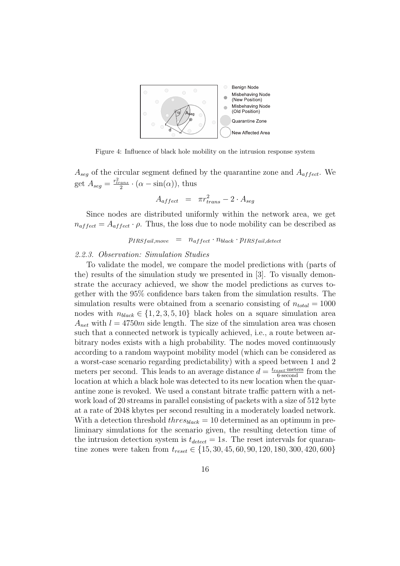

Figure 4: Influence of black hole mobility on the intrusion response system

 $A_{seg}$  of the circular segment defined by the quarantine zone and  $A_{affect}$ . We get  $A_{seg} = \frac{r_{trans}^2}{2} \cdot (\alpha - \sin(\alpha))$ , thus

$$
A_{affect} = \pi r_{trans}^2 - 2 \cdot A_{seg}
$$

Since nodes are distributed uniformly within the network area, we get  $n_{after} = A_{after} \cdot \rho$ . Thus, the loss due to node mobility can be described as

 $p_{IRS fail,move} = n_{after} \cdot n_{black} \cdot p_{IRS fail,detect}$ 

#### *2.2.3. Observation: Simulation Studies*

To validate the model, we compare the model predictions with (parts of the) results of the simulation study we presented in [3]. To visually demonstrate the accuracy achieved, we show the model predictions as curves together with the 95% confidence bars taken from the simulation results. The simulation results were obtained from a scenario consisting of  $n_{total} = 1000$ nodes with  $n_{black} \in \{1, 2, 3, 5, 10\}$  black holes on a square simulation area  $A_{net}$  with  $l = 4750m$  side length. The size of the simulation area was chosen such that a connected network is typically achieved, i.e., a route between arbitrary nodes exists with a high probability. The nodes moved continuously according to a random waypoint mobility model (which can be considered as a worst-case scenario regarding predictability) with a speed between 1 and 2 meters per second. This leads to an average distance  $d = \frac{t_{reset} \text{ meters}}{6 \text{ second}}$  from the location at which a black hole was detected to its new location when the quarantine zone is revoked. We used a constant bitrate traffic pattern with a network load of 20 streams in parallel consisting of packets with a size of 512 byte at a rate of 2048 kbytes per second resulting in a moderately loaded network. With a detection threshold  $threshold \, = 10$  determined as an optimum in preliminary simulations for the scenario given, the resulting detection time of the intrusion detection system is  $t_{detect} = 1s$ . The reset intervals for quarantine zones were taken from  $t_{reset} \in \{15, 30, 45, 60, 90, 120, 180, 300, 420, 600\}$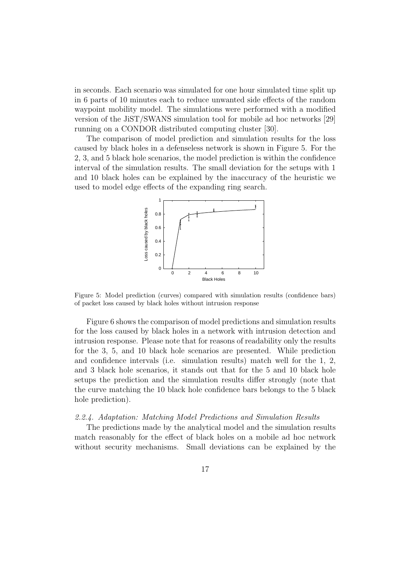in seconds. Each scenario was simulated for one hour simulated time split up in 6 parts of 10 minutes each to reduce unwanted side effects of the random waypoint mobility model. The simulations were performed with a modified version of the JiST/SWANS simulation tool for mobile ad hoc networks [29] running on a CONDOR distributed computing cluster [30].

The comparison of model prediction and simulation results for the loss caused by black holes in a defenseless network is shown in Figure 5. For the 2, 3, and 5 black hole scenarios, the model prediction is within the confidence interval of the simulation results. The small deviation for the setups with 1 and 10 black holes can be explained by the inaccuracy of the heuristic we used to model edge effects of the expanding ring search.



Figure 5: Model prediction (curves) compared with simulation results (confidence bars) of packet loss caused by black holes without intrusion response

Figure 6 shows the comparison of model predictions and simulation results for the loss caused by black holes in a network with intrusion detection and intrusion response. Please note that for reasons of readability only the results for the 3, 5, and 10 black hole scenarios are presented. While prediction and confidence intervals (i.e. simulation results) match well for the 1, 2, and 3 black hole scenarios, it stands out that for the 5 and 10 black hole setups the prediction and the simulation results differ strongly (note that the curve matching the 10 black hole confidence bars belongs to the 5 black hole prediction).

#### *2.2.4. Adaptation: Matching Model Predictions and Simulation Results*

The predictions made by the analytical model and the simulation results match reasonably for the effect of black holes on a mobile ad hoc network without security mechanisms. Small deviations can be explained by the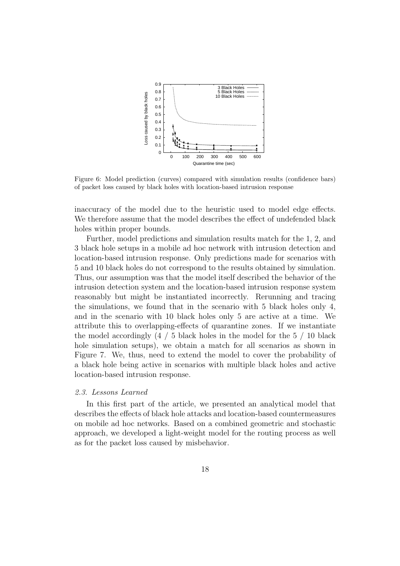

Figure 6: Model prediction (curves) compared with simulation results (confidence bars) of packet loss caused by black holes with location-based intrusion response

inaccuracy of the model due to the heuristic used to model edge effects. We therefore assume that the model describes the effect of undefended black holes within proper bounds.

Further, model predictions and simulation results match for the 1, 2, and 3 black hole setups in a mobile ad hoc network with intrusion detection and location-based intrusion response. Only predictions made for scenarios with 5 and 10 black holes do not correspond to the results obtained by simulation. Thus, our assumption was that the model itself described the behavior of the intrusion detection system and the location-based intrusion response system reasonably but might be instantiated incorrectly. Rerunning and tracing the simulations, we found that in the scenario with 5 black holes only 4, and in the scenario with 10 black holes only 5 are active at a time. We attribute this to overlapping-effects of quarantine zones. If we instantiate the model accordingly  $(4 / 5$  black holes in the model for the  $5 / 10$  black hole simulation setups), we obtain a match for all scenarios as shown in Figure 7. We, thus, need to extend the model to cover the probability of a black hole being active in scenarios with multiple black holes and active location-based intrusion response.

#### *2.3. Lessons Learned*

In this first part of the article, we presented an analytical model that describes the effects of black hole attacks and location-based countermeasures on mobile ad hoc networks. Based on a combined geometric and stochastic approach, we developed a light-weight model for the routing process as well as for the packet loss caused by misbehavior.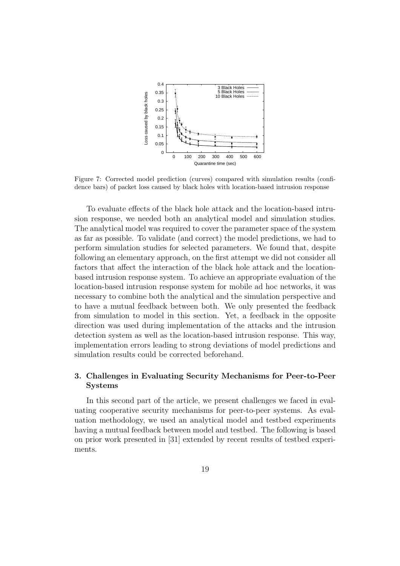

Figure 7: Corrected model prediction (curves) compared with simulation results (confidence bars) of packet loss caused by black holes with location-based intrusion response

To evaluate effects of the black hole attack and the location-based intrusion response, we needed both an analytical model and simulation studies. The analytical model was required to cover the parameter space of the system as far as possible. To validate (and correct) the model predictions, we had to perform simulation studies for selected parameters. We found that, despite following an elementary approach, on the first attempt we did not consider all factors that affect the interaction of the black hole attack and the locationbased intrusion response system. To achieve an appropriate evaluation of the location-based intrusion response system for mobile ad hoc networks, it was necessary to combine both the analytical and the simulation perspective and to have a mutual feedback between both. We only presented the feedback from simulation to model in this section. Yet, a feedback in the opposite direction was used during implementation of the attacks and the intrusion detection system as well as the location-based intrusion response. This way, implementation errors leading to strong deviations of model predictions and simulation results could be corrected beforehand.

# 3. Challenges in Evaluating Security Mechanisms for Peer-to-Peer Systems

In this second part of the article, we present challenges we faced in evaluating cooperative security mechanisms for peer-to-peer systems. As evaluation methodology, we used an analytical model and testbed experiments having a mutual feedback between model and testbed. The following is based on prior work presented in [31] extended by recent results of testbed experiments.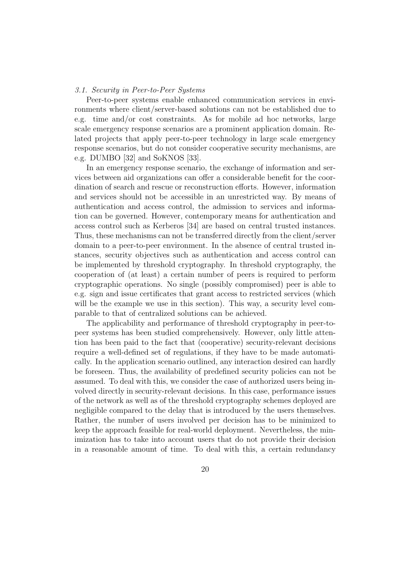#### *3.1. Security in Peer-to-Peer Systems*

Peer-to-peer systems enable enhanced communication services in environments where client/server-based solutions can not be established due to e.g. time and/or cost constraints. As for mobile ad hoc networks, large scale emergency response scenarios are a prominent application domain. Related projects that apply peer-to-peer technology in large scale emergency response scenarios, but do not consider cooperative security mechanisms, are e.g. DUMBO [32] and SoKNOS [33].

In an emergency response scenario, the exchange of information and services between aid organizations can offer a considerable benefit for the coordination of search and rescue or reconstruction efforts. However, information and services should not be accessible in an unrestricted way. By means of authentication and access control, the admission to services and information can be governed. However, contemporary means for authentication and access control such as Kerberos [34] are based on central trusted instances. Thus, these mechanisms can not be transferred directly from the client/server domain to a peer-to-peer environment. In the absence of central trusted instances, security objectives such as authentication and access control can be implemented by threshold cryptography. In threshold cryptography, the cooperation of (at least) a certain number of peers is required to perform cryptographic operations. No single (possibly compromised) peer is able to e.g. sign and issue certificates that grant access to restricted services (which will be the example we use in this section). This way, a security level comparable to that of centralized solutions can be achieved.

The applicability and performance of threshold cryptography in peer-topeer systems has been studied comprehensively. However, only little attention has been paid to the fact that (cooperative) security-relevant decisions require a well-defined set of regulations, if they have to be made automatically. In the application scenario outlined, any interaction desired can hardly be foreseen. Thus, the availability of predefined security policies can not be assumed. To deal with this, we consider the case of authorized users being involved directly in security-relevant decisions. In this case, performance issues of the network as well as of the threshold cryptography schemes deployed are negligible compared to the delay that is introduced by the users themselves. Rather, the number of users involved per decision has to be minimized to keep the approach feasible for real-world deployment. Nevertheless, the minimization has to take into account users that do not provide their decision in a reasonable amount of time. To deal with this, a certain redundancy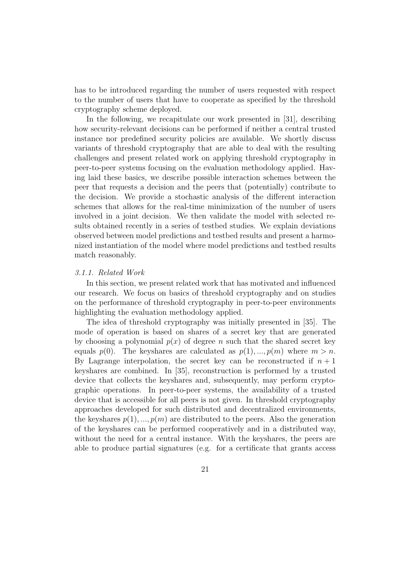has to be introduced regarding the number of users requested with respect to the number of users that have to cooperate as specified by the threshold cryptography scheme deployed.

In the following, we recapitulate our work presented in [31], describing how security-relevant decisions can be performed if neither a central trusted instance nor predefined security policies are available. We shortly discuss variants of threshold cryptography that are able to deal with the resulting challenges and present related work on applying threshold cryptography in peer-to-peer systems focusing on the evaluation methodology applied. Having laid these basics, we describe possible interaction schemes between the peer that requests a decision and the peers that (potentially) contribute to the decision. We provide a stochastic analysis of the different interaction schemes that allows for the real-time minimization of the number of users involved in a joint decision. We then validate the model with selected results obtained recently in a series of testbed studies. We explain deviations observed between model predictions and testbed results and present a harmonized instantiation of the model where model predictions and testbed results match reasonably.

#### *3.1.1. Related Work*

In this section, we present related work that has motivated and influenced our research. We focus on basics of threshold cryptography and on studies on the performance of threshold cryptography in peer-to-peer environments highlighting the evaluation methodology applied.

The idea of threshold cryptography was initially presented in [35]. The mode of operation is based on shares of a secret key that are generated by choosing a polynomial  $p(x)$  of degree n such that the shared secret key equals  $p(0)$ . The keyshares are calculated as  $p(1), ..., p(m)$  where  $m > n$ . By Lagrange interpolation, the secret key can be reconstructed if  $n+1$ keyshares are combined. In [35], reconstruction is performed by a trusted device that collects the keyshares and, subsequently, may perform cryptographic operations. In peer-to-peer systems, the availability of a trusted device that is accessible for all peers is not given. In threshold cryptography approaches developed for such distributed and decentralized environments, the keyshares  $p(1),..., p(m)$  are distributed to the peers. Also the generation of the keyshares can be performed cooperatively and in a distributed way, without the need for a central instance. With the keyshares, the peers are able to produce partial signatures (e.g. for a certificate that grants access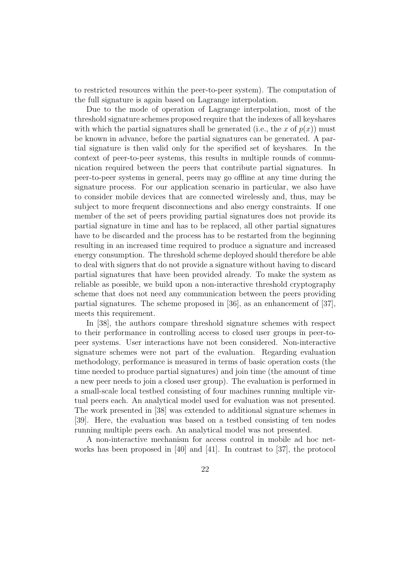to restricted resources within the peer-to-peer system). The computation of the full signature is again based on Lagrange interpolation.

Due to the mode of operation of Lagrange interpolation, most of the threshold signature schemes proposed require that the indexes of all keyshares with which the partial signatures shall be generated (i.e., the x of  $p(x)$ ) must be known in advance, before the partial signatures can be generated. A partial signature is then valid only for the specified set of keyshares. In the context of peer-to-peer systems, this results in multiple rounds of communication required between the peers that contribute partial signatures. In peer-to-peer systems in general, peers may go offline at any time during the signature process. For our application scenario in particular, we also have to consider mobile devices that are connected wirelessly and, thus, may be subject to more frequent disconnections and also energy constraints. If one member of the set of peers providing partial signatures does not provide its partial signature in time and has to be replaced, all other partial signatures have to be discarded and the process has to be restarted from the beginning resulting in an increased time required to produce a signature and increased energy consumption. The threshold scheme deployed should therefore be able to deal with signers that do not provide a signature without having to discard partial signatures that have been provided already. To make the system as reliable as possible, we build upon a non-interactive threshold cryptography scheme that does not need any communication between the peers providing partial signatures. The scheme proposed in [36], as an enhancement of [37], meets this requirement.

In [38], the authors compare threshold signature schemes with respect to their performance in controlling access to closed user groups in peer-topeer systems. User interactions have not been considered. Non-interactive signature schemes were not part of the evaluation. Regarding evaluation methodology, performance is measured in terms of basic operation costs (the time needed to produce partial signatures) and join time (the amount of time a new peer needs to join a closed user group). The evaluation is performed in a small-scale local testbed consisting of four machines running multiple virtual peers each. An analytical model used for evaluation was not presented. The work presented in [38] was extended to additional signature schemes in [39]. Here, the evaluation was based on a testbed consisting of ten nodes running multiple peers each. An analytical model was not presented.

A non-interactive mechanism for access control in mobile ad hoc networks has been proposed in [40] and [41]. In contrast to [37], the protocol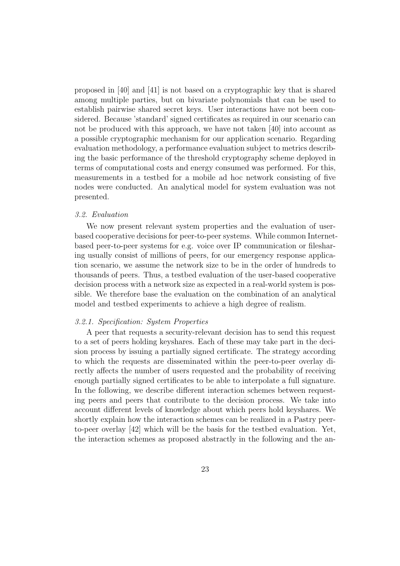proposed in [40] and [41] is not based on a cryptographic key that is shared among multiple parties, but on bivariate polynomials that can be used to establish pairwise shared secret keys. User interactions have not been considered. Because 'standard' signed certificates as required in our scenario can not be produced with this approach, we have not taken [40] into account as a possible cryptographic mechanism for our application scenario. Regarding evaluation methodology, a performance evaluation subject to metrics describing the basic performance of the threshold cryptography scheme deployed in terms of computational costs and energy consumed was performed. For this, measurements in a testbed for a mobile ad hoc network consisting of five nodes were conducted. An analytical model for system evaluation was not presented.

#### *3.2. Evaluation*

We now present relevant system properties and the evaluation of userbased cooperative decisions for peer-to-peer systems. While common Internetbased peer-to-peer systems for e.g. voice over IP communication or filesharing usually consist of millions of peers, for our emergency response application scenario, we assume the network size to be in the order of hundreds to thousands of peers. Thus, a testbed evaluation of the user-based cooperative decision process with a network size as expected in a real-world system is possible. We therefore base the evaluation on the combination of an analytical model and testbed experiments to achieve a high degree of realism.

#### *3.2.1. Specification: System Properties*

A peer that requests a security-relevant decision has to send this request to a set of peers holding keyshares. Each of these may take part in the decision process by issuing a partially signed certificate. The strategy according to which the requests are disseminated within the peer-to-peer overlay directly affects the number of users requested and the probability of receiving enough partially signed certificates to be able to interpolate a full signature. In the following, we describe different interaction schemes between requesting peers and peers that contribute to the decision process. We take into account different levels of knowledge about which peers hold keyshares. We shortly explain how the interaction schemes can be realized in a Pastry peerto-peer overlay [42] which will be the basis for the testbed evaluation. Yet, the interaction schemes as proposed abstractly in the following and the an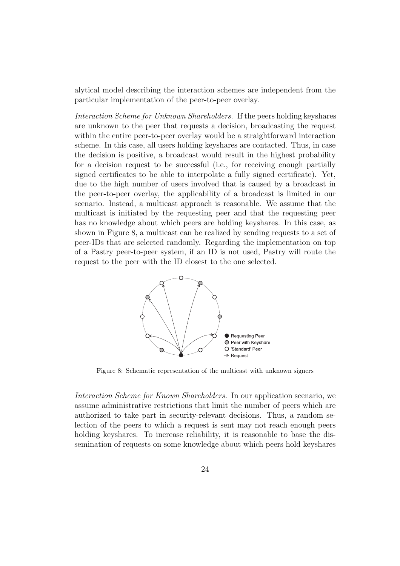alytical model describing the interaction schemes are independent from the particular implementation of the peer-to-peer overlay.

*Interaction Scheme for Unknown Shareholders.* If the peers holding keyshares are unknown to the peer that requests a decision, broadcasting the request within the entire peer-to-peer overlay would be a straightforward interaction scheme. In this case, all users holding keyshares are contacted. Thus, in case the decision is positive, a broadcast would result in the highest probability for a decision request to be successful (i.e., for receiving enough partially signed certificates to be able to interpolate a fully signed certificate). Yet, due to the high number of users involved that is caused by a broadcast in the peer-to-peer overlay, the applicability of a broadcast is limited in our scenario. Instead, a multicast approach is reasonable. We assume that the multicast is initiated by the requesting peer and that the requesting peer has no knowledge about which peers are holding keyshares. In this case, as shown in Figure 8, a multicast can be realized by sending requests to a set of peer-IDs that are selected randomly. Regarding the implementation on top of a Pastry peer-to-peer system, if an ID is not used, Pastry will route the request to the peer with the ID closest to the one selected.



Figure 8: Schematic representation of the multicast with unknown signers

*Interaction Scheme for Known Shareholders.* In our application scenario, we assume administrative restrictions that limit the number of peers which are authorized to take part in security-relevant decisions. Thus, a random selection of the peers to which a request is sent may not reach enough peers holding keyshares. To increase reliability, it is reasonable to base the dissemination of requests on some knowledge about which peers hold keyshares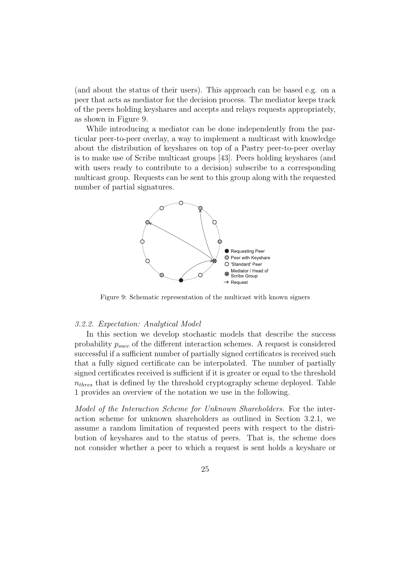(and about the status of their users). This approach can be based e.g. on a peer that acts as mediator for the decision process. The mediator keeps track of the peers holding keyshares and accepts and relays requests appropriately, as shown in Figure 9.

While introducing a mediator can be done independently from the particular peer-to-peer overlay, a way to implement a multicast with knowledge about the distribution of keyshares on top of a Pastry peer-to-peer overlay is to make use of Scribe multicast groups [43]. Peers holding keyshares (and with users ready to contribute to a decision) subscribe to a corresponding multicast group. Requests can be sent to this group along with the requested number of partial signatures.



Figure 9: Schematic representation of the multicast with known signers

#### *3.2.2. Expectation: Analytical Model*

In this section we develop stochastic models that describe the success probability  $p_{succ}$  of the different interaction schemes. A request is considered successful if a sufficient number of partially signed certificates is received such that a fully signed certificate can be interpolated. The number of partially signed certificates received is sufficient if it is greater or equal to the threshold  $n_{thres}$  that is defined by the threshold cryptography scheme deployed. Table 1 provides an overview of the notation we use in the following.

*Model of the Interaction Scheme for Unknown Shareholders.* For the interaction scheme for unknown shareholders as outlined in Section 3.2.1, we assume a random limitation of requested peers with respect to the distribution of keyshares and to the status of peers. That is, the scheme does not consider whether a peer to which a request is sent holds a keyshare or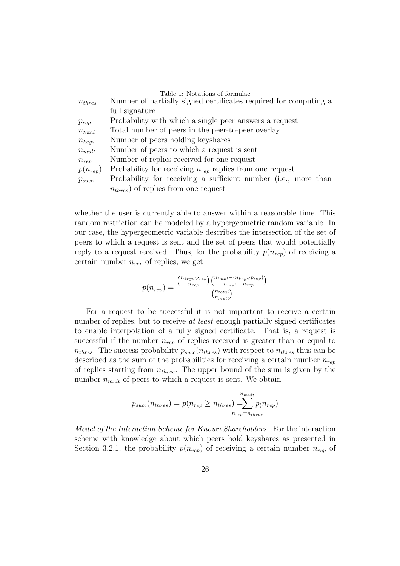| Table 1: Notations of formulae |                                                                  |  |
|--------------------------------|------------------------------------------------------------------|--|
| $n_{thres}$                    | Number of partially signed certificates required for computing a |  |
|                                | full signature                                                   |  |
| $p_{rep}$                      | Probability with which a single peer answers a request           |  |
| $n_{total}$                    | Total number of peers in the peer-to-peer overlay                |  |
| $n_{keys}$                     | Number of peers holding keyshares                                |  |
| $n_{mult}$                     | Number of peers to which a request is sent                       |  |
| $n_{rep}$                      | Number of replies received for one request                       |  |
| $p(n_{rep})$                   | Probability for receiving $n_{rep}$ replies from one request     |  |
| $p_{succ}$                     | Probability for receiving a sufficient number (i.e., more than   |  |
|                                | $n_{thres}$ ) of replies from one request                        |  |

whether the user is currently able to answer within a reasonable time. This random restriction can be modeled by a hypergeometric random variable. In our case, the hypergeometric variable describes the intersection of the set of peers to which a request is sent and the set of peers that would potentially reply to a request received. Thus, for the probability  $p(n_{rep})$  of receiving a certain number  $n_{rep}$  of replies, we get

$$
p(n_{rep}) = \frac{\binom{n_{keys} \cdot prep}{n_{rep}} \binom{n_{total} - (n_{keys} \cdot prep)}{n_{mult} - n_{rep}}}{\binom{n_{total}}{n_{mult}}}
$$

For a request to be successful it is not important to receive a certain number of replies, but to receive *at least* enough partially signed certificates to enable interpolation of a fully signed certificate. That is, a request is successful if the number  $n_{rep}$  of replies received is greater than or equal to  $n_{thres}$ . The success probability  $p_{succ}(n_{thres})$  with respect to  $n_{thres}$  thus can be described as the sum of the probabilities for receiving a certain number  $n_{rep}$ of replies starting from  $n_{thres}$ . The upper bound of the sum is given by the number  $n_{mult}$  of peers to which a request is sent. We obtain

$$
p_{succ}(n_{thres}) = p(n_{rep} \ge n_{thres}) = \sum_{n_{rep}=n_{thres}}^{n_{mult}} p(n_{rep})
$$

*Model of the Interaction Scheme for Known Shareholders.* For the interaction scheme with knowledge about which peers hold keyshares as presented in Section 3.2.1, the probability  $p(n_{rep})$  of receiving a certain number  $n_{rep}$  of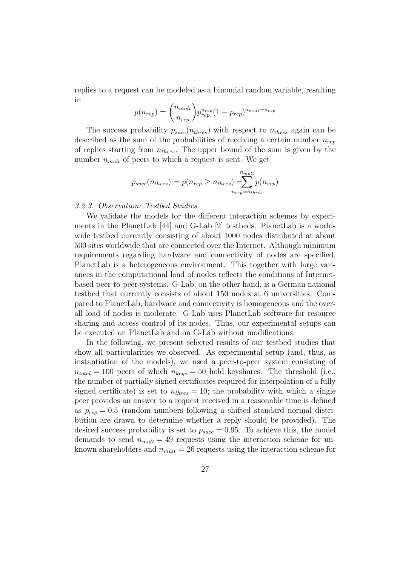replies to a request can be modeled as a binomial random variable, resulting in

$$
p(n_{rep}) = {n_{mult} \choose n_{rep}} p_{rep}^{n_{rep}} (1 - p_{rep})^{n_{mult} - n_{rep}}
$$

The success probability  $p_{succ}(n_{thres})$  with respect to  $n_{thres}$  again can be described as the sum of the probabilities of receiving a certain number  $n_{rep}$ of replies starting from  $n_{thres}$ . The upper bound of the sum is given by the number  $n_{mult}$  of peers to which a request is sent. We get

$$
p_{succ}(n_{thres}) = p(n_{rep} \ge n_{thres}) = \sum_{n_{rep}=n_{thres}}^{n_{mult}} p(n_{rep})
$$

#### *3.2.3. Observation: Testbed Studies*

We validate the models for the different interaction schemes by experiments in the PlanetLab [44] and G-Lab [2] testbeds. PlanetLab is a worldwide testbed currently consisting of about 1000 nodes distributed at about 500 sites worldwide that are connected over the Internet. Although minimum requirements regarding hardware and connectivity of nodes are specified, PlanetLab is a heterogeneous environment. This together with large variances in the computational load of nodes reflects the conditions of Internetbased peer-to-peer systems. G-Lab, on the other hand, is a German national testbed that currently consists of about 150 nodes at 6 universities. Compared to PlanetLab, hardware and connectivity is homogeneous and the overall load of nodes is moderate. G-Lab uses PlanetLab software for resource sharing and access control of its nodes. Thus, our experimental setups can be executed on PlanetLab and on G-Lab without modifications.

In the following, we present selected results of our testbed studies that show all particularities we observed. As experimental setup (and, thus, as instantiation of the models), we used a peer-to-peer system consisting of  $n_{total} = 100$  peers of which  $n_{keys} = 50$  hold keyshares. The threshold (i.e., the number of partially signed certificates required for interpolation of a fully signed certificate) is set to  $n_{thres} = 10$ ; the probability with which a single peer provides an answer to a request received in a reasonable time is defined as  $p_{rep} = 0.5$  (random numbers following a shifted standard normal distribution are drawn to determine whether a reply should be provided). The desired success probability is set to  $p_{succ} = 0.95$ . To achieve this, the model demands to send  $n_{mult} = 49$  requests using the interaction scheme for unknown shareholders and  $n_{mult} = 26$  requests using the interaction scheme for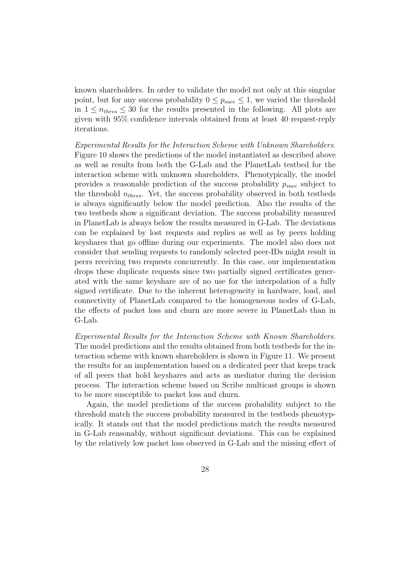known shareholders. In order to validate the model not only at this singular point, but for any success probability  $0 \leq p_{succ} \leq 1$ , we varied the threshold in  $1 \leq n_{thres} \leq 30$  for the results presented in the following. All plots are given with 95% confidence intervals obtained from at least 40 request-reply iterations.

*Experimental Results for the Interaction Scheme with Unknown Shareholders.* Figure 10 shows the predictions of the model instantiated as described above as well as results from both the G-Lab and the PlanetLab testbed for the interaction scheme with unknown shareholders. Phenotypically, the model provides a reasonable prediction of the success probability  $p_{succ}$  subject to the threshold  $n_{thres}$ . Yet, the success probability observed in both testbeds is always significantly below the model prediction. Also the results of the two testbeds show a significant deviation. The success probability measured in PlanetLab is always below the results measured in G-Lab. The deviations can be explained by lost requests and replies as well as by peers holding keyshares that go offline during our experiments. The model also does not consider that sending requests to randomly selected peer-IDs might result in peers receiving two requests concurrently. In this case, our implementation drops these duplicate requests since two partially signed certificates generated with the same keyshare are of no use for the interpolation of a fully signed certificate. Due to the inherent heterogeneity in hardware, load, and connectivity of PlanetLab compared to the homogeneous nodes of G-Lab, the effects of packet loss and churn are more severe in PlanetLab than in G-Lab.

*Experimental Results for the Interaction Scheme with Known Shareholders.* The model predictions and the results obtained from both testbeds for the interaction scheme with known shareholders is shown in Figure 11. We present the results for an implementation based on a dedicated peer that keeps track of all peers that hold keyshares and acts as mediator during the decision process. The interaction scheme based on Scribe multicast groups is shown to be more susceptible to packet loss and churn.

Again, the model predictions of the success probability subject to the threshold match the success probability measured in the testbeds phenotypically. It stands out that the model predictions match the results measured in G-Lab reasonably, without significant deviations. This can be explained by the relatively low packet loss observed in G-Lab and the missing effect of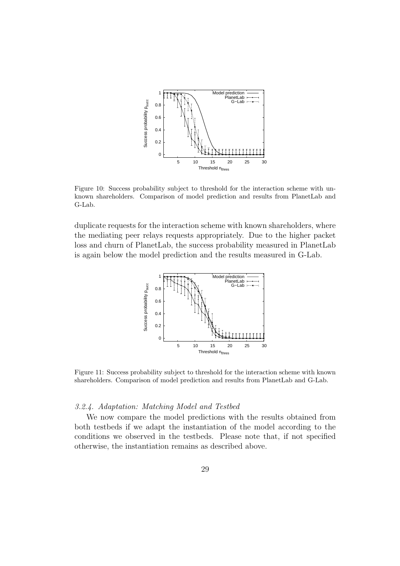

Figure 10: Success probability subject to threshold for the interaction scheme with unknown shareholders. Comparison of model prediction and results from PlanetLab and G-Lab.

duplicate requests for the interaction scheme with known shareholders, where the mediating peer relays requests appropriately. Due to the higher packet loss and churn of PlanetLab, the success probability measured in PlanetLab is again below the model prediction and the results measured in G-Lab.



Figure 11: Success probability subject to threshold for the interaction scheme with known shareholders. Comparison of model prediction and results from PlanetLab and G-Lab.

#### *3.2.4. Adaptation: Matching Model and Testbed*

We now compare the model predictions with the results obtained from both testbeds if we adapt the instantiation of the model according to the conditions we observed in the testbeds. Please note that, if not specified otherwise, the instantiation remains as described above.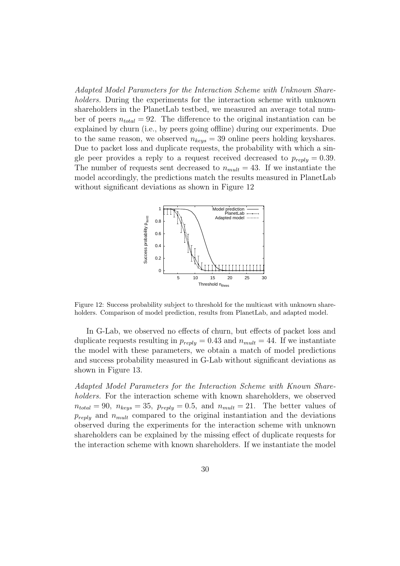*Adapted Model Parameters for the Interaction Scheme with Unknown Shareholders.* During the experiments for the interaction scheme with unknown shareholders in the PlanetLab testbed, we measured an average total number of peers  $n_{total} = 92$ . The difference to the original instantiation can be explained by churn (i.e., by peers going offline) during our experiments. Due to the same reason, we observed  $n_{keys} = 39$  online peers holding keyshares. Due to packet loss and duplicate requests, the probability with which a single peer provides a reply to a request received decreased to  $p_{reply} = 0.39$ . The number of requests sent decreased to  $n_{mult} = 43$ . If we instantiate the model accordingly, the predictions match the results measured in PlanetLab without significant deviations as shown in Figure 12



Figure 12: Success probability subject to threshold for the multicast with unknown shareholders. Comparison of model prediction, results from PlanetLab, and adapted model.

In G-Lab, we observed no effects of churn, but effects of packet loss and duplicate requests resulting in  $p_{reply} = 0.43$  and  $n_{mult} = 44$ . If we instantiate the model with these parameters, we obtain a match of model predictions and success probability measured in G-Lab without significant deviations as shown in Figure 13.

*Adapted Model Parameters for the Interaction Scheme with Known Shareholders.* For the interaction scheme with known shareholders, we observed  $n_{total} = 90$ ,  $n_{keys} = 35$ ,  $p_{reply} = 0.5$ , and  $n_{mult} = 21$ . The better values of  $p_{rebly}$  and  $n_{mult}$  compared to the original instantiation and the deviations observed during the experiments for the interaction scheme with unknown shareholders can be explained by the missing effect of duplicate requests for the interaction scheme with known shareholders. If we instantiate the model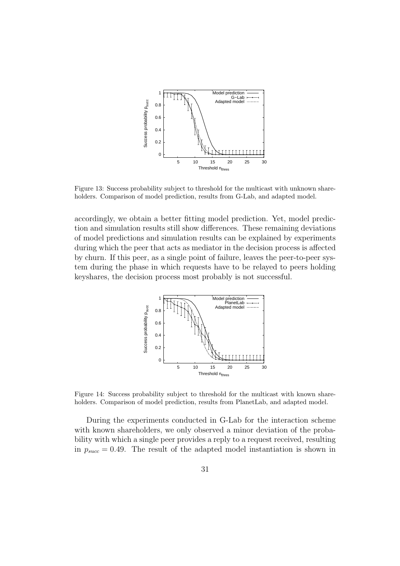

Figure 13: Success probability subject to threshold for the multicast with unknown shareholders. Comparison of model prediction, results from G-Lab, and adapted model.

accordingly, we obtain a better fitting model prediction. Yet, model prediction and simulation results still show differences. These remaining deviations of model predictions and simulation results can be explained by experiments during which the peer that acts as mediator in the decision process is affected by churn. If this peer, as a single point of failure, leaves the peer-to-peer system during the phase in which requests have to be relayed to peers holding keyshares, the decision process most probably is not successful.



Figure 14: Success probability subject to threshold for the multicast with known shareholders. Comparison of model prediction, results from PlanetLab, and adapted model.

During the experiments conducted in G-Lab for the interaction scheme with known shareholders, we only observed a minor deviation of the probability with which a single peer provides a reply to a request received, resulting in  $p_{succ} = 0.49$ . The result of the adapted model instantiation is shown in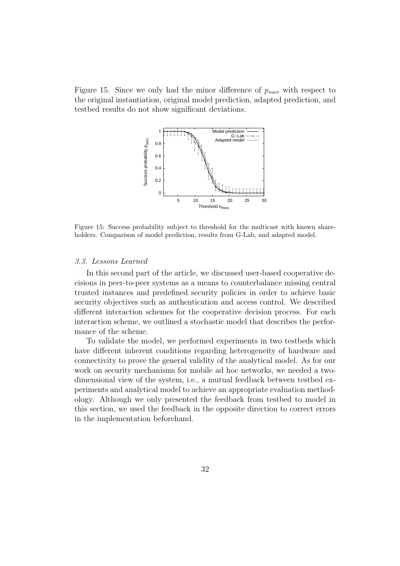Figure 15. Since we only had the minor difference of  $p_{succ}$  with respect to the original instantiation, original model prediction, adapted prediction, and testbed results do not show significant deviations.



Figure 15: Success probability subject to threshold for the multicast with known shareholders. Comparison of model prediction, results from G-Lab, and adapted model.

#### *3.3. Lessons Learned*

In this second part of the article, we discussed user-based cooperative decisions in peer-to-peer systems as a means to counterbalance missing central trusted instances and predefined security policies in order to achieve basic security objectives such as authentication and access control. We described different interaction schemes for the cooperative decision process. For each interaction scheme, we outlined a stochastic model that describes the performance of the scheme.

To validate the model, we performed experiments in two testbeds which have different inherent conditions regarding heterogeneity of hardware and connectivity to prove the general validity of the analytical model. As for our work on security mechanisms for mobile ad hoc networks, we needed a twodimensional view of the system, i.e., a mutual feedback between testbed experiments and analytical model to achieve an appropriate evaluation methodology. Although we only presented the feedback from testbed to model in this section, we used the feedback in the opposite direction to correct errors in the implementation beforehand.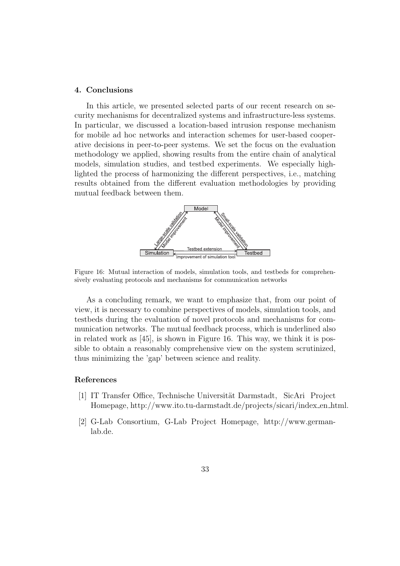#### 4. Conclusions

In this article, we presented selected parts of our recent research on security mechanisms for decentralized systems and infrastructure-less systems. In particular, we discussed a location-based intrusion response mechanism for mobile ad hoc networks and interaction schemes for user-based cooperative decisions in peer-to-peer systems. We set the focus on the evaluation methodology we applied, showing results from the entire chain of analytical models, simulation studies, and testbed experiments. We especially highlighted the process of harmonizing the different perspectives, i.e., matching results obtained from the different evaluation methodologies by providing mutual feedback between them.



Figure 16: Mutual interaction of models, simulation tools, and testbeds for comprehensively evaluating protocols and mechanisms for communication networks

As a concluding remark, we want to emphasize that, from our point of view, it is necessary to combine perspectives of models, simulation tools, and testbeds during the evaluation of novel protocols and mechanisms for communication networks. The mutual feedback process, which is underlined also in related work as [45], is shown in Figure 16. This way, we think it is possible to obtain a reasonably comprehensive view on the system scrutinized, thus minimizing the 'gap' between science and reality.

### References

- [1] IT Transfer Office, Technische Universität Darmstadt, SicAri Project Homepage, http://www.ito.tu-darmstadt.de/projects/sicari/index en html.
- [2] G-Lab Consortium, G-Lab Project Homepage, http://www.germanlab.de.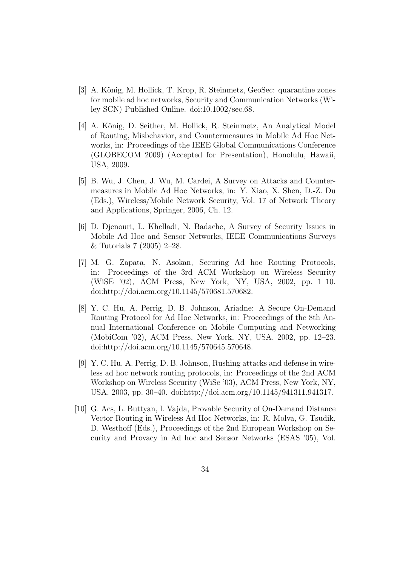- [3] A. König, M. Hollick, T. Krop, R. Steinmetz, GeoSec: quarantine zones for mobile ad hoc networks, Security and Communication Networks (Wiley SCN) Published Online. doi:10.1002/sec.68.
- [4] A. König, D. Seither, M. Hollick, R. Steinmetz, An Analytical Model of Routing, Misbehavior, and Countermeasures in Mobile Ad Hoc Networks, in: Proceedings of the IEEE Global Communications Conference (GLOBECOM 2009) (Accepted for Presentation), Honolulu, Hawaii, USA, 2009.
- [5] B. Wu, J. Chen, J. Wu, M. Cardei, A Survey on Attacks and Countermeasures in Mobile Ad Hoc Networks, in: Y. Xiao, X. Shen, D.-Z. Du (Eds.), Wireless/Mobile Network Security, Vol. 17 of Network Theory and Applications, Springer, 2006, Ch. 12.
- [6] D. Djenouri, L. Khelladi, N. Badache, A Survey of Security Issues in Mobile Ad Hoc and Sensor Networks, IEEE Communications Surveys & Tutorials 7 (2005) 2–28.
- [7] M. G. Zapata, N. Asokan, Securing Ad hoc Routing Protocols, in: Proceedings of the 3rd ACM Workshop on Wireless Security (WiSE '02), ACM Press, New York, NY, USA, 2002, pp. 1–10. doi:http://doi.acm.org/10.1145/570681.570682.
- [8] Y. C. Hu, A. Perrig, D. B. Johnson, Ariadne: A Secure On-Demand Routing Protocol for Ad Hoc Networks, in: Proceedings of the 8th Annual International Conference on Mobile Computing and Networking (MobiCom '02), ACM Press, New York, NY, USA, 2002, pp. 12–23. doi:http://doi.acm.org/10.1145/570645.570648.
- [9] Y. C. Hu, A. Perrig, D. B. Johnson, Rushing attacks and defense in wireless ad hoc network routing protocols, in: Proceedings of the 2nd ACM Workshop on Wireless Security (WiSe '03), ACM Press, New York, NY, USA, 2003, pp. 30–40. doi:http://doi.acm.org/10.1145/941311.941317.
- [10] G. Acs, L. Buttyan, I. Vajda, Provable Security of On-Demand Distance Vector Routing in Wireless Ad Hoc Networks, in: R. Molva, G. Tsudik, D. Westhoff (Eds.), Proceedings of the 2nd European Workshop on Security and Provacy in Ad hoc and Sensor Networks (ESAS '05), Vol.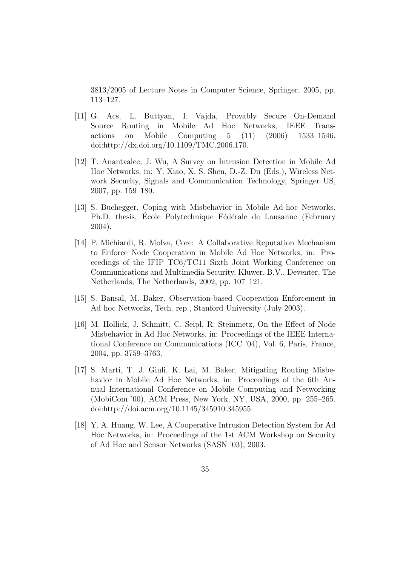3813/2005 of Lecture Notes in Computer Science, Springer, 2005, pp. 113–127.

- [11] G. Acs, L. Buttyan, I. Vajda, Provably Secure On-Demand Source Routing in Mobile Ad Hoc Networks, IEEE Transactions on Mobile Computing 5 (11) (2006) 1533–1546. doi:http://dx.doi.org/10.1109/TMC.2006.170.
- [12] T. Anantvalee, J. Wu, A Survey on Intrusion Detection in Mobile Ad Hoc Networks, in: Y. Xiao, X. S. Shen, D.-Z. Du (Eds.), Wireless Network Security, Signals and Communication Technology, Springer US, 2007, pp. 159–180.
- [13] S. Buchegger, Coping with Misbehavior in Mobile Ad-hoc Networks, Ph.D. thesis, Ecole Polytechnique Fédérale de Lausanne (February 2004).
- [14] P. Michiardi, R. Molva, Core: A Collaborative Reputation Mechanism to Enforce Node Cooperation in Mobile Ad Hoc Networks, in: Proceedings of the IFIP TC6/TC11 Sixth Joint Working Conference on Communications and Multimedia Security, Kluwer, B.V., Deventer, The Netherlands, The Netherlands, 2002, pp. 107–121.
- [15] S. Bansal, M. Baker, Observation-based Cooperation Enforcement in Ad hoc Networks, Tech. rep., Stanford University (July 2003).
- [16] M. Hollick, J. Schmitt, C. Seipl, R. Steinmetz, On the Effect of Node Misbehavior in Ad Hoc Networks, in: Proceedings of the IEEE International Conference on Communications (ICC '04), Vol. 6, Paris, France, 2004, pp. 3759–3763.
- [17] S. Marti, T. J. Giuli, K. Lai, M. Baker, Mitigating Routing Misbehavior in Mobile Ad Hoc Networks, in: Proceedings of the 6th Annual International Conference on Mobile Computing and Networking (MobiCom '00), ACM Press, New York, NY, USA, 2000, pp. 255–265. doi:http://doi.acm.org/10.1145/345910.345955.
- [18] Y. A. Huang, W. Lee, A Cooperative Intrusion Detection System for Ad Hoc Networks, in: Proceedings of the 1st ACM Workshop on Security of Ad Hoc and Sensor Networks (SASN '03), 2003.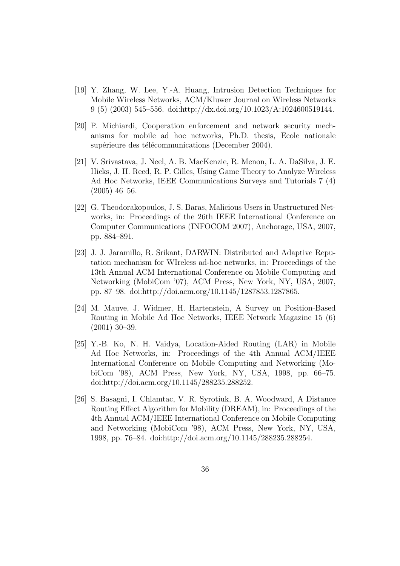- [19] Y. Zhang, W. Lee, Y.-A. Huang, Intrusion Detection Techniques for Mobile Wireless Networks, ACM/Kluwer Journal on Wireless Networks 9 (5) (2003) 545–556. doi:http://dx.doi.org/10.1023/A:1024600519144.
- [20] P. Michiardi, Cooperation enforcement and network security mechanisms for mobile ad hoc networks, Ph.D. thesis, Ecole nationale supérieure des télécommunications (December 2004).
- [21] V. Srivastava, J. Neel, A. B. MacKenzie, R. Menon, L. A. DaSilva, J. E. Hicks, J. H. Reed, R. P. Gilles, Using Game Theory to Analyze Wireless Ad Hoc Networks, IEEE Communications Surveys and Tutorials 7 (4) (2005) 46–56.
- [22] G. Theodorakopoulos, J. S. Baras, Malicious Users in Unstructured Networks, in: Proceedings of the 26th IEEE International Conference on Computer Communications (INFOCOM 2007), Anchorage, USA, 2007, pp. 884–891.
- [23] J. J. Jaramillo, R. Srikant, DARWIN: Distributed and Adaptive Reputation mechanism for WIreless ad-hoc networks, in: Proceedings of the 13th Annual ACM International Conference on Mobile Computing and Networking (MobiCom '07), ACM Press, New York, NY, USA, 2007, pp. 87–98. doi:http://doi.acm.org/10.1145/1287853.1287865.
- [24] M. Mauve, J. Widmer, H. Hartenstein, A Survey on Position-Based Routing in Mobile Ad Hoc Networks, IEEE Network Magazine 15 (6) (2001) 30–39.
- [25] Y.-B. Ko, N. H. Vaidya, Location-Aided Routing (LAR) in Mobile Ad Hoc Networks, in: Proceedings of the 4th Annual ACM/IEEE International Conference on Mobile Computing and Networking (MobiCom '98), ACM Press, New York, NY, USA, 1998, pp. 66–75. doi:http://doi.acm.org/10.1145/288235.288252.
- [26] S. Basagni, I. Chlamtac, V. R. Syrotiuk, B. A. Woodward, A Distance Routing Effect Algorithm for Mobility (DREAM), in: Proceedings of the 4th Annual ACM/IEEE International Conference on Mobile Computing and Networking (MobiCom '98), ACM Press, New York, NY, USA, 1998, pp. 76–84. doi:http://doi.acm.org/10.1145/288235.288254.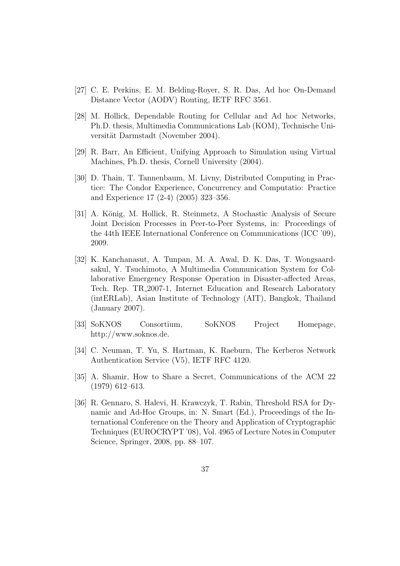- [27] C. E. Perkins, E. M. Belding-Royer, S. R. Das, Ad hoc On-Demand Distance Vector (AODV) Routing, IETF RFC 3561.
- [28] M. Hollick, Dependable Routing for Cellular and Ad hoc Networks, Ph.D. thesis, Multimedia Communications Lab (KOM), Technische Universität Darmstadt (November 2004).
- [29] R. Barr, An Efficient, Unifying Approach to Simulation using Virtual Machines, Ph.D. thesis, Cornell University (2004).
- [30] D. Thain, T. Tannenbaum, M. Livny, Distributed Computing in Practice: The Condor Experience, Concurrency and Computatio: Practice and Experience 17 (2-4) (2005) 323–356.
- [31] A. König, M. Hollick, R. Steinmetz, A Stochastic Analysis of Secure Joint Decision Processes in Peer-to-Peer Systems, in: Proceedings of the 44th IEEE International Conference on Communications (ICC '09), 2009.
- [32] K. Kanchanasut, A. Tunpan, M. A. Awal, D. K. Das, T. Wongsaardsakul, Y. Tsuchimoto, A Multimedia Communication System for Collaborative Emergency Response Operation in Disaster-affected Areas, Tech. Rep. TR 2007-1, Internet Education and Research Laboratory (intERLab), Asian Institute of Technology (AIT), Bangkok, Thailand (January 2007).
- [33] SoKNOS Consortium, SoKNOS Project Homepage, http://www.soknos.de.
- [34] C. Neuman, T. Yu, S. Hartman, K. Raeburn, The Kerberos Network Authentication Service (V5), IETF RFC 4120.
- [35] A. Shamir, How to Share a Secret, Communications of the ACM 22 (1979) 612–613.
- [36] R. Gennaro, S. Halevi, H. Krawczyk, T. Rabin, Threshold RSA for Dynamic and Ad-Hoc Groups, in: N. Smart (Ed.), Proceedings of the International Conference on the Theory and Application of Cryptographic Techniques (EUROCRYPT '08), Vol. 4965 of Lecture Notes in Computer Science, Springer, 2008, pp. 88–107.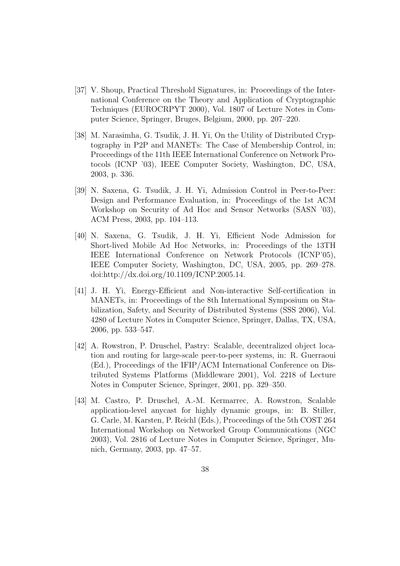- [37] V. Shoup, Practical Threshold Signatures, in: Proceedings of the International Conference on the Theory and Application of Cryptographic Techniques (EUROCRPYT 2000), Vol. 1807 of Lecture Notes in Computer Science, Springer, Bruges, Belgium, 2000, pp. 207–220.
- [38] M. Narasimha, G. Tsudik, J. H. Yi, On the Utility of Distributed Cryptography in P2P and MANETs: The Case of Membership Control, in: Proceedings of the 11th IEEE International Conference on Network Protocols (ICNP '03), IEEE Computer Society, Washington, DC, USA, 2003, p. 336.
- [39] N. Saxena, G. Tsudik, J. H. Yi, Admission Control in Peer-to-Peer: Design and Performance Evaluation, in: Proceedings of the 1st ACM Workshop on Security of Ad Hoc and Sensor Networks (SASN '03), ACM Press, 2003, pp. 104–113.
- [40] N. Saxena, G. Tsudik, J. H. Yi, Efficient Node Admission for Short-lived Mobile Ad Hoc Networks, in: Proceedings of the 13TH IEEE International Conference on Network Protocols (ICNP'05), IEEE Computer Society, Washington, DC, USA, 2005, pp. 269–278. doi:http://dx.doi.org/10.1109/ICNP.2005.14.
- [41] J. H. Yi, Energy-Efficient and Non-interactive Self-certification in MANETs, in: Proceedings of the 8th International Symposium on Stabilization, Safety, and Security of Distributed Systems (SSS 2006), Vol. 4280 of Lecture Notes in Computer Science, Springer, Dallas, TX, USA, 2006, pp. 533–547.
- [42] A. Rowstron, P. Druschel, Pastry: Scalable, decentralized object location and routing for large-scale peer-to-peer systems, in: R. Guerraoui (Ed.), Proceedings of the IFIP/ACM International Conference on Distributed Systems Platforms (Middleware 2001), Vol. 2218 of Lecture Notes in Computer Science, Springer, 2001, pp. 329–350.
- [43] M. Castro, P. Druschel, A.-M. Kermarrec, A. Rowstron, Scalable application-level anycast for highly dynamic groups, in: B. Stiller, G. Carle, M. Karsten, P. Reichl (Eds.), Proceedings of the 5th COST 264 International Workshop on Networked Group Communications (NGC 2003), Vol. 2816 of Lecture Notes in Computer Science, Springer, Munich, Germany, 2003, pp. 47–57.